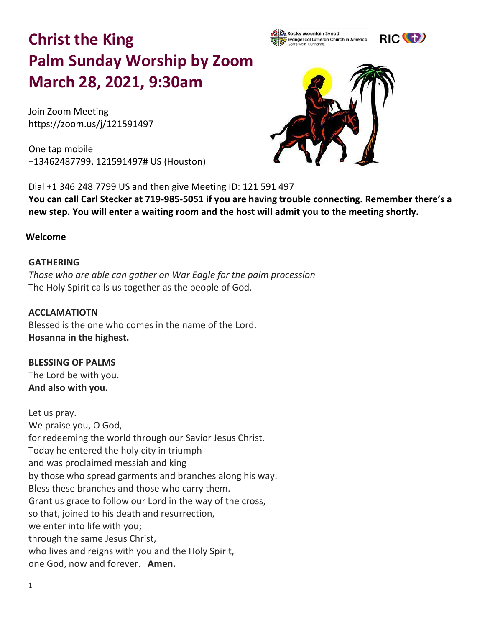# **Christ the King Palm Sunday Worship by Zoom March 28, 2021, 9:30am**

Join Zoom Meeting https://zoom.us/j/121591497

One tap mobile +13462487799, 121591497# US (Houston)



**Evangelical Lutheran Church in America** 

Rocky Mountain Synod

Dial +1 346 248 7799 US and then give Meeting ID: 121 591 497 **You can call Carl Stecker at 719-985-5051 if you are having trouble connecting. Remember there's a new step. You will enter a waiting room and the host will admit you to the meeting shortly.** 

#### **Welcome**

#### **GATHERING**

*Those who are able can gather on War Eagle for the palm procession*  The Holy Spirit calls us together as the people of God.

**ACCLAMATIOTN** Blessed is the one who comes in the name of the Lord. **Hosanna in the highest.**

## **BLESSING OF PALMS**

The Lord be with you. **And also with you.**

Let us pray. We praise you, O God, for redeeming the world through our Savior Jesus Christ. Today he entered the holy city in triumph and was proclaimed messiah and king by those who spread garments and branches along his way. Bless these branches and those who carry them. Grant us grace to follow our Lord in the way of the cross, so that, joined to his death and resurrection, we enter into life with you; through the same Jesus Christ, who lives and reigns with you and the Holy Spirit, one God, now and forever. **Amen.**

RIC<sup>(C</sup>E)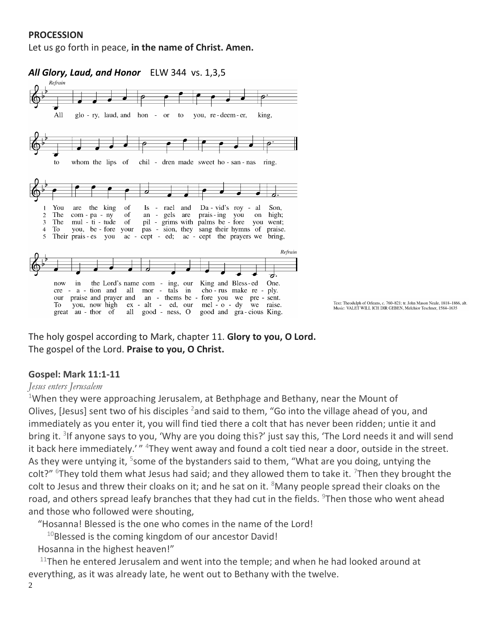### **PROCESSION**

Let us go forth in peace, **in the name of Christ. Amen.**



The holy gospel according to Mark, chapter 11. **Glory to you, O Lord.** The gospel of the Lord. **Praise to you, O Christ.**

#### **Gospel: Mark 11:1-11**

#### *Jesus enters Jerusalem*

<sup>1</sup>When they were approaching Jerusalem, at Bethphage and Bethany, near the Mount of Olives, [Jesus] sent two of his disciples <sup>2</sup> and said to them, "Go into the village ahead of you, and immediately as you enter it, you will find tied there a colt that has never been ridden; untie it and bring it. <sup>3</sup>If anyone says to you, 'Why are you doing this?' just say this, 'The Lord needs it and will send it back here immediately.'" <sup>4</sup>They went away and found a colt tied near a door, outside in the street. As they were untying it, <sup>5</sup>some of the bystanders said to them, "What are you doing, untying the colt?" <sup>6</sup>They told them what Jesus had said; and they allowed them to take it. <sup>7</sup>Then they brought the colt to Jesus and threw their cloaks on it; and he sat on it.  $8$ Many people spread their cloaks on the road, and others spread leafy branches that they had cut in the fields. <sup>9</sup>Then those who went ahead and those who followed were shouting,

"Hosanna! Blessed is the one who comes in the name of the Lord!

 $10B$ lessed is the coming kingdom of our ancestor David!

Hosanna in the highest heaven!"

 $11$ Then he entered Jerusalem and went into the temple; and when he had looked around at everything, as it was already late, he went out to Bethany with the twelve.

2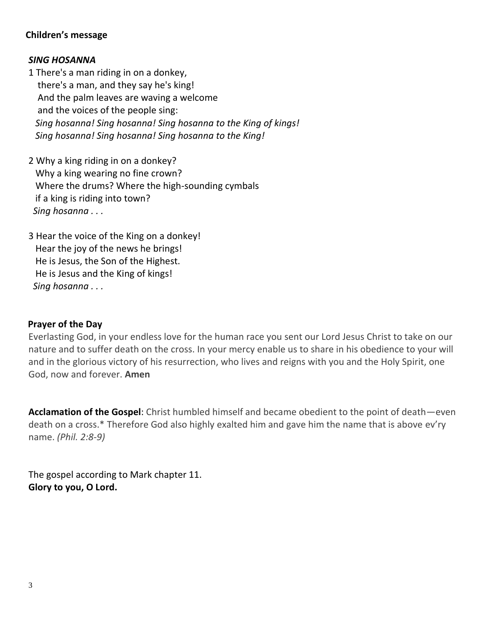## **Children's message**

#### *SING HOSANNA*

1 There's a man riding in on a donkey, there's a man, and they say he's king! And the palm leaves are waving a welcome and the voices of the people sing: *Sing hosanna! Sing hosanna! Sing hosanna to the King of kings! Sing hosanna! Sing hosanna! Sing hosanna to the King!*

2 Why a king riding in on a donkey? Why a king wearing no fine crown? Where the drums? Where the high-sounding cymbals if a king is riding into town? *Sing hosanna . . .*

3 Hear the voice of the King on a donkey! Hear the joy of the news he brings! He is Jesus, the Son of the Highest. He is Jesus and the King of kings! *Sing hosanna . . .*

#### **Prayer of the Day**

Everlasting God, in your endless love for the human race you sent our Lord Jesus Christ to take on our nature and to suffer death on the cross. In your mercy enable us to share in his obedience to your will and in the glorious victory of his resurrection, who lives and reigns with you and the Holy Spirit, one God, now and forever. **Amen**

**Acclamation of the Gospel**: Christ humbled himself and became obedient to the point of death—even death on a cross.\* Therefore God also highly exalted him and gave him the name that is above ev'ry name. *(Phil. 2:8-9)* 

The gospel according to Mark chapter 11. **Glory to you, O Lord.**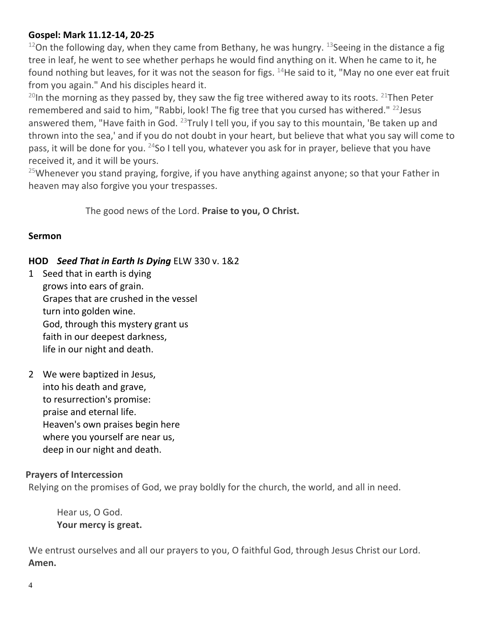## **Gospel: Mark 11.12-14, 20-25**

<sup>12</sup>On the following day, when they came from Bethany, he was hungry. <sup>13</sup> Seeing in the distance a fig tree in leaf, he went to see whether perhaps he would find anything on it. When he came to it, he found nothing but leaves, for it was not the season for figs. <sup>14</sup>He said to it, "May no one ever eat fruit from you again." And his disciples heard it.

<sup>20</sup>In the morning as they passed by, they saw the fig tree withered away to its roots. <sup>21</sup>Then Peter remembered and said to him, "Rabbi, look! The fig tree that you cursed has withered." <sup>22</sup> Jesus answered them, "Have faith in God.  $^{23}$ Truly I tell you, if you say to this mountain, 'Be taken up and thrown into the sea,' and if you do not doubt in your heart, but believe that what you say will come to pass, it will be done for you.  $^{24}$ So I tell you, whatever you ask for in prayer, believe that you have received it, and it will be yours.

<sup>25</sup>Whenever you stand praying, forgive, if you have anything against anyone; so that your Father in heaven may also forgive you your trespasses.

The good news of the Lord. **Praise to you, O Christ.**

### **Sermon**

### **HOD** *Seed That in Earth Is Dying* ELW 330 v. 1&2

- 1 Seed that in earth is dying grows into ears of grain. Grapes that are crushed in the vessel turn into golden wine. God, through this mystery grant us faith in our deepest darkness, life in our night and death.
- 2 We were baptized in Jesus, into his death and grave, to resurrection's promise: praise and eternal life. Heaven's own praises begin here where you yourself are near us, deep in our night and death.

## **Prayers of Intercession**

Relying on the promises of God, we pray boldly for the church, the world, and all in need.

Hear us, O God. **Your mercy is great.**

We entrust ourselves and all our prayers to you, O faithful God, through Jesus Christ our Lord. **Amen.**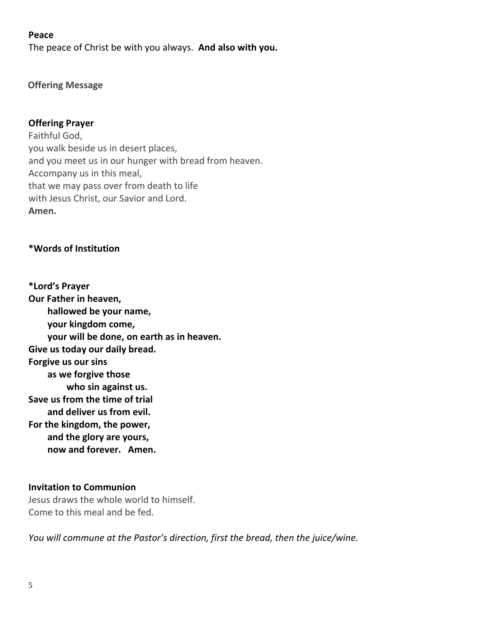#### **Peace**

The peace of Christ be with you always. **And also with you.**

#### **Offering Message**

#### **Offering Prayer**

Faithful God, you walk beside us in desert places, and you meet us in our hunger with bread from heaven. Accompany us in this meal, that we may pass over from death to life with Jesus Christ, our Savior and Lord. **Amen.**

#### **\*Words of Institution**

**\*Lord's Prayer Our Father in heaven, hallowed be your name, your kingdom come, your will be done, on earth as in heaven. Give us today our daily bread. Forgive us our sins as we forgive those who sin against us. Save us from the time of trial and deliver us from evil. For the kingdom, the power, and the glory are yours, now and forever. Amen.**

#### **Invitation to Communion**

Jesus draws the whole world to himself. Come to this meal and be fed.

*You will commune at the Pastor's direction, first the bread, then the juice/wine.*